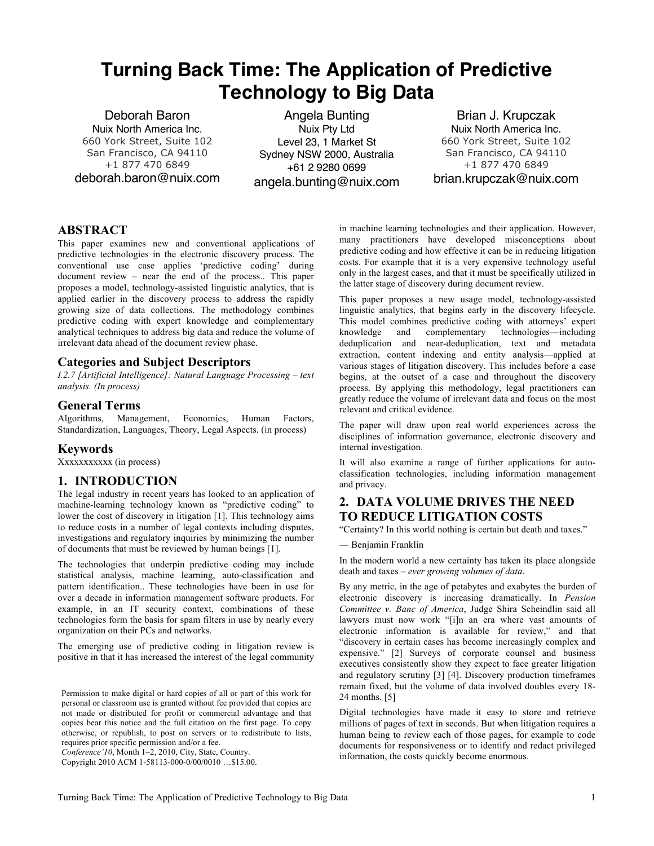# **Turning Back Time: The Application of Predictive Technology to Big Data**

Deborah Baron Nuix North America Inc. 660 York Street, Suite 102 San Francisco, CA 94110 +1 877 470 6849 deborah.baron@nuix.com

Angela Bunting Nuix Pty Ltd Level 23, 1 Market St Sydney NSW 2000, Australia +61 2 9280 0699 angela.bunting@nuix.com

Brian J. Krupczak Nuix North America Inc. 660 York Street, Suite 102 San Francisco, CA 94110 +1 877 470 6849 brian.krupczak@nuix.com

## **ABSTRACT**

This paper examines new and conventional applications of predictive technologies in the electronic discovery process. The conventional use case applies 'predictive coding' during document review – near the end of the process.. This paper proposes a model, technology-assisted linguistic analytics, that is applied earlier in the discovery process to address the rapidly growing size of data collections. The methodology combines predictive coding with expert knowledge and complementary analytical techniques to address big data and reduce the volume of irrelevant data ahead of the document review phase.

# **Categories and Subject Descriptors**

*I.2.7 [Artificial Intelligence]: Natural Language Processing – text analysis. (In process)*

### **General Terms**

Algorithms, Management, Economics, Human Factors, Standardization, Languages, Theory, Legal Aspects. (in process)

#### **Keywords**

Xxxxxxxxxxx (in process)

## **1. INTRODUCTION**

The legal industry in recent years has looked to an application of machine-learning technology known as "predictive coding" to lower the cost of discovery in litigation [1]. This technology aims to reduce costs in a number of legal contexts including disputes, investigations and regulatory inquiries by minimizing the number of documents that must be reviewed by human beings [1].

The technologies that underpin predictive coding may include statistical analysis, machine learning, auto-classification and pattern identification.. These technologies have been in use for over a decade in information management software products. For example, in an IT security context, combinations of these technologies form the basis for spam filters in use by nearly every organization on their PCs and networks.

The emerging use of predictive coding in litigation review is positive in that it has increased the interest of the legal community

Permission to make digital or hard copies of all or part of this work for personal or classroom use is granted without fee provided that copies are not made or distributed for profit or commercial advantage and that copies bear this notice and the full citation on the first page. To copy otherwise, or republish, to post on servers or to redistribute to lists, requires prior specific permission and/or a fee.

*Conference'10*, Month 1–2, 2010, City, State, Country.

Copyright 2010 ACM 1-58113-000-0/00/0010 …\$15.00.

in machine learning technologies and their application. However, many practitioners have developed misconceptions about predictive coding and how effective it can be in reducing litigation costs. For example that it is a very expensive technology useful only in the largest cases, and that it must be specifically utilized in the latter stage of discovery during document review.

This paper proposes a new usage model, technology-assisted linguistic analytics, that begins early in the discovery lifecycle. This model combines predictive coding with attorneys' expert knowledge and complementary technologies—including deduplication and near-deduplication, text and metadata extraction, content indexing and entity analysis—applied at various stages of litigation discovery. This includes before a case begins, at the outset of a case and throughout the discovery process. By applying this methodology, legal practitioners can greatly reduce the volume of irrelevant data and focus on the most relevant and critical evidence.

The paper will draw upon real world experiences across the disciplines of information governance, electronic discovery and internal investigation.

It will also examine a range of further applications for autoclassification technologies, including information management and privacy.

# **2. DATA VOLUME DRIVES THE NEED TO REDUCE LITIGATION COSTS**

"Certainty? In this world nothing is certain but death and taxes."

― Benjamin Franklin

In the modern world a new certainty has taken its place alongside death and taxes – *ever growing volumes of data*.

By any metric, in the age of petabytes and exabytes the burden of electronic discovery is increasing dramatically. In *Pension Committee v. Banc of America*, Judge Shira Scheindlin said all lawyers must now work "[i]n an era where vast amounts of electronic information is available for review," and that "discovery in certain cases has become increasingly complex and expensive." [2] Surveys of corporate counsel and business executives consistently show they expect to face greater litigation and regulatory scrutiny [3] [4]. Discovery production timeframes remain fixed, but the volume of data involved doubles every 18- 24 months. [5]

Digital technologies have made it easy to store and retrieve millions of pages of text in seconds. But when litigation requires a human being to review each of those pages, for example to code documents for responsiveness or to identify and redact privileged information, the costs quickly become enormous.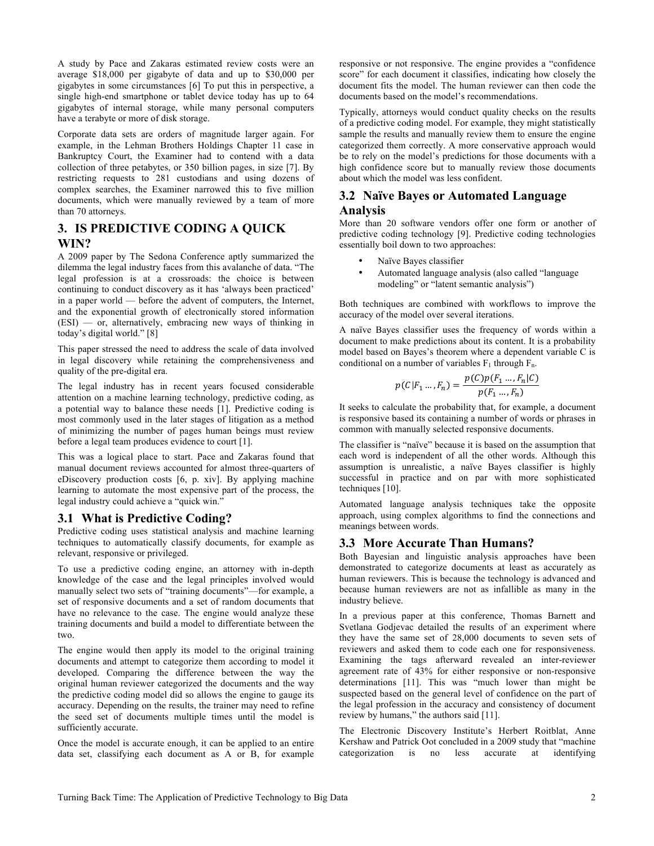A study by Pace and Zakaras estimated review costs were an average \$18,000 per gigabyte of data and up to \$30,000 per gigabytes in some circumstances [6] To put this in perspective, a single high-end smartphone or tablet device today has up to 64 gigabytes of internal storage, while many personal computers have a terabyte or more of disk storage.

Corporate data sets are orders of magnitude larger again. For example, in the Lehman Brothers Holdings Chapter 11 case in Bankruptcy Court, the Examiner had to contend with a data collection of three petabytes, or 350 billion pages, in size [7]. By restricting requests to 281 custodians and using dozens of complex searches, the Examiner narrowed this to five million documents, which were manually reviewed by a team of more than 70 attorneys.

# **3. IS PREDICTIVE CODING A QUICK WIN?**

A 2009 paper by The Sedona Conference aptly summarized the dilemma the legal industry faces from this avalanche of data. "The legal profession is at a crossroads: the choice is between continuing to conduct discovery as it has 'always been practiced' in a paper world — before the advent of computers, the Internet, and the exponential growth of electronically stored information (ESI) — or, alternatively, embracing new ways of thinking in today's digital world." [8]

This paper stressed the need to address the scale of data involved in legal discovery while retaining the comprehensiveness and quality of the pre-digital era.

The legal industry has in recent years focused considerable attention on a machine learning technology, predictive coding, as a potential way to balance these needs [1]. Predictive coding is most commonly used in the later stages of litigation as a method of minimizing the number of pages human beings must review before a legal team produces evidence to court [1].

This was a logical place to start. Pace and Zakaras found that manual document reviews accounted for almost three-quarters of eDiscovery production costs [6, p. xiv]. By applying machine learning to automate the most expensive part of the process, the legal industry could achieve a "quick win."

## **3.1 What is Predictive Coding?**

Predictive coding uses statistical analysis and machine learning techniques to automatically classify documents, for example as relevant, responsive or privileged.

To use a predictive coding engine, an attorney with in-depth knowledge of the case and the legal principles involved would manually select two sets of "training documents"—for example, a set of responsive documents and a set of random documents that have no relevance to the case. The engine would analyze these training documents and build a model to differentiate between the two.

The engine would then apply its model to the original training documents and attempt to categorize them according to model it developed. Comparing the difference between the way the original human reviewer categorized the documents and the way the predictive coding model did so allows the engine to gauge its accuracy. Depending on the results, the trainer may need to refine the seed set of documents multiple times until the model is sufficiently accurate.

Once the model is accurate enough, it can be applied to an entire data set, classifying each document as A or B, for example

responsive or not responsive. The engine provides a "confidence score" for each document it classifies, indicating how closely the document fits the model. The human reviewer can then code the documents based on the model's recommendations.

Typically, attorneys would conduct quality checks on the results of a predictive coding model. For example, they might statistically sample the results and manually review them to ensure the engine categorized them correctly. A more conservative approach would be to rely on the model's predictions for those documents with a high confidence score but to manually review those documents about which the model was less confident.

# **3.2 Naïve Bayes or Automated Language**

# **Analysis**

More than 20 software vendors offer one form or another of predictive coding technology [9]. Predictive coding technologies essentially boil down to two approaches:

- Naïve Bayes classifier
- Automated language analysis (also called "language modeling" or "latent semantic analysis")

Both techniques are combined with workflows to improve the accuracy of the model over several iterations.

A naïve Bayes classifier uses the frequency of words within a document to make predictions about its content. It is a probability model based on Bayes's theorem where a dependent variable C is conditional on a number of variables  $F_1$  through  $F_n$ .

$$
p(C|F_1 ... , F_n) = \frac{p(C)p(F_1 ... , F_n|C)}{p(F_1 ... , F_n)}
$$

It seeks to calculate the probability that, for example, a document is responsive based its containing a number of words or phrases in common with manually selected responsive documents.

The classifier is "naïve" because it is based on the assumption that each word is independent of all the other words. Although this assumption is unrealistic, a naïve Bayes classifier is highly successful in practice and on par with more sophisticated techniques [10].

Automated language analysis techniques take the opposite approach, using complex algorithms to find the connections and meanings between words.

## **3.3 More Accurate Than Humans?**

Both Bayesian and linguistic analysis approaches have been demonstrated to categorize documents at least as accurately as human reviewers. This is because the technology is advanced and because human reviewers are not as infallible as many in the industry believe.

In a previous paper at this conference, Thomas Barnett and Svetlana Godjevac detailed the results of an experiment where they have the same set of 28,000 documents to seven sets of reviewers and asked them to code each one for responsiveness. Examining the tags afterward revealed an inter-reviewer agreement rate of 43% for either responsive or non-responsive determinations [11]. This was "much lower than might be suspected based on the general level of confidence on the part of the legal profession in the accuracy and consistency of document review by humans," the authors said [11].

The Electronic Discovery Institute's Herbert Roitblat, Anne Kershaw and Patrick Oot concluded in a 2009 study that "machine categorization is no less accurate at identifying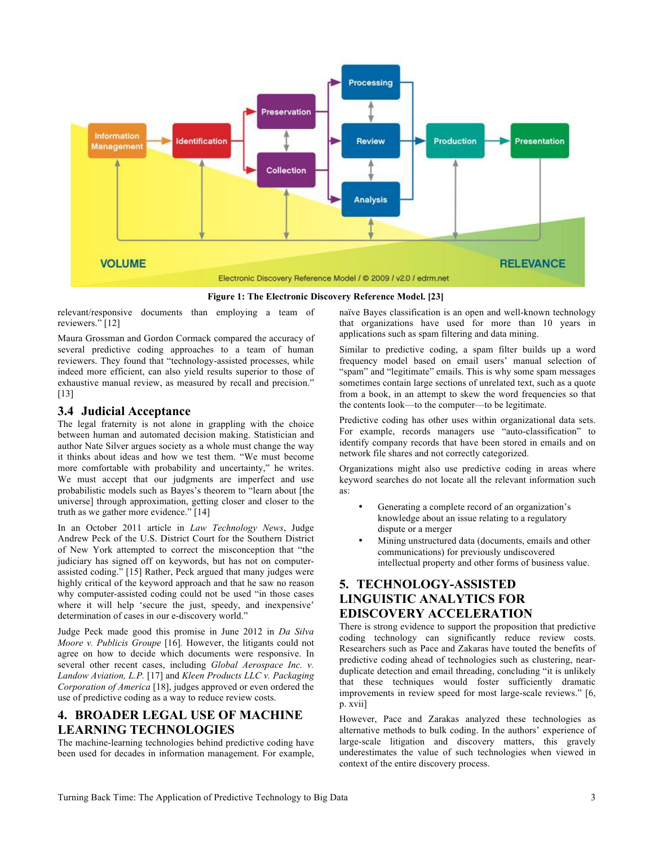

relevant/responsive documents than employing a team of reviewers." [12]

Maura Grossman and Gordon Cormack compared the accuracy of several predictive coding approaches to a team of human reviewers. They found that "technology-assisted processes, while indeed more efficient, can also yield results superior to those of exhaustive manual review, as measured by recall and precision." [13]

## **3.4 Judicial Acceptance**

The legal fraternity is not alone in grappling with the choice between human and automated decision making. Statistician and author Nate Silver argues society as a whole must change the way it thinks about ideas and how we test them. "We must become more comfortable with probability and uncertainty," he writes. We must accept that our judgments are imperfect and use probabilistic models such as Bayes's theorem to "learn about [the universe] through approximation, getting closer and closer to the truth as we gather more evidence." [14]

In an October 2011 article in *Law Technology News*, Judge Andrew Peck of the U.S. District Court for the Southern District of New York attempted to correct the misconception that "the judiciary has signed off on keywords, but has not on computerassisted coding." [15] Rather, Peck argued that many judges were highly critical of the keyword approach and that he saw no reason why computer-assisted coding could not be used "in those cases where it will help 'secure the just, speedy, and inexpensive' determination of cases in our e-discovery world."

Judge Peck made good this promise in June 2012 in *Da Silva Moore v. Publicis Groupe* [16]*.* However, the litigants could not agree on how to decide which documents were responsive. In several other recent cases, including *Global Aerospace Inc. v. Landow Aviation, L.P.* [17] and *Kleen Products LLC v. Packaging Corporation of America* [18], judges approved or even ordered the use of predictive coding as a way to reduce review costs.

# **4. BROADER LEGAL USE OF MACHINE LEARNING TECHNOLOGIES**

The machine-learning technologies behind predictive coding have been used for decades in information management. For example, naïve Bayes classification is an open and well-known technology that organizations have used for more than 10 years in applications such as spam filtering and data mining.

Similar to predictive coding, a spam filter builds up a word frequency model based on email users' manual selection of "spam" and "legitimate" emails. This is why some spam messages sometimes contain large sections of unrelated text, such as a quote from a book, in an attempt to skew the word frequencies so that the contents look—to the computer—to be legitimate.

Predictive coding has other uses within organizational data sets. For example, records managers use "auto-classification" to identify company records that have been stored in emails and on network file shares and not correctly categorized.

Organizations might also use predictive coding in areas where keyword searches do not locate all the relevant information such as:

- Generating a complete record of an organization's knowledge about an issue relating to a regulatory dispute or a merger
- Mining unstructured data (documents, emails and other communications) for previously undiscovered intellectual property and other forms of business value.

# **5. TECHNOLOGY-ASSISTED LINGUISTIC ANALYTICS FOR EDISCOVERY ACCELERATION**

There is strong evidence to support the proposition that predictive coding technology can significantly reduce review costs. Researchers such as Pace and Zakaras have touted the benefits of predictive coding ahead of technologies such as clustering, nearduplicate detection and email threading, concluding "it is unlikely that these techniques would foster sufficiently dramatic improvements in review speed for most large-scale reviews." [6, p. xvii]

However, Pace and Zarakas analyzed these technologies as alternative methods to bulk coding. In the authors' experience of large-scale litigation and discovery matters, this gravely underestimates the value of such technologies when viewed in context of the entire discovery process.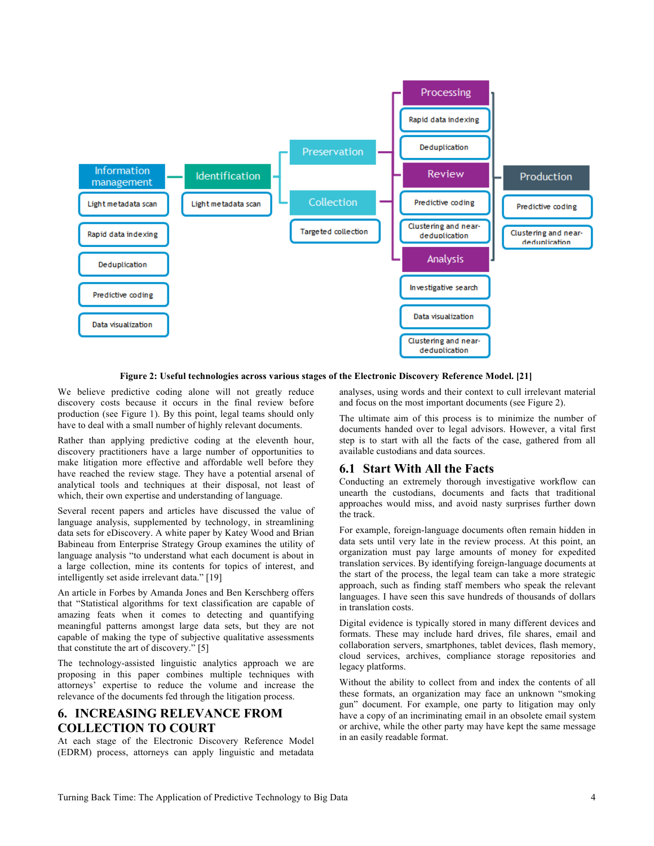

#### **Figure 2: Useful technologies across various stages of the Electronic Discovery Reference Model. [21]**

We believe predictive coding alone will not greatly reduce discovery costs because it occurs in the final review before production (see Figure 1). By this point, legal teams should only have to deal with a small number of highly relevant documents.

Rather than applying predictive coding at the eleventh hour, discovery practitioners have a large number of opportunities to make litigation more effective and affordable well before they have reached the review stage. They have a potential arsenal of analytical tools and techniques at their disposal, not least of which, their own expertise and understanding of language.

Several recent papers and articles have discussed the value of language analysis, supplemented by technology, in streamlining data sets for eDiscovery. A white paper by Katey Wood and Brian Babineau from Enterprise Strategy Group examines the utility of language analysis "to understand what each document is about in a large collection, mine its contents for topics of interest, and intelligently set aside irrelevant data." [19]

An article in Forbes by Amanda Jones and Ben Kerschberg offers that "Statistical algorithms for text classification are capable of amazing feats when it comes to detecting and quantifying meaningful patterns amongst large data sets, but they are not capable of making the type of subjective qualitative assessments that constitute the art of discovery." [5]

The technology-assisted linguistic analytics approach we are proposing in this paper combines multiple techniques with attorneys' expertise to reduce the volume and increase the relevance of the documents fed through the litigation process.

## **6. INCREASING RELEVANCE FROM COLLECTION TO COURT**

At each stage of the Electronic Discovery Reference Model (EDRM) process, attorneys can apply linguistic and metadata

analyses, using words and their context to cull irrelevant material and focus on the most important documents (see Figure 2).

The ultimate aim of this process is to minimize the number of documents handed over to legal advisors. However, a vital first step is to start with all the facts of the case, gathered from all available custodians and data sources.

#### **6.1 Start With All the Facts**

Conducting an extremely thorough investigative workflow can unearth the custodians, documents and facts that traditional approaches would miss, and avoid nasty surprises further down the track.

For example, foreign-language documents often remain hidden in data sets until very late in the review process. At this point, an organization must pay large amounts of money for expedited translation services. By identifying foreign-language documents at the start of the process, the legal team can take a more strategic approach, such as finding staff members who speak the relevant languages. I have seen this save hundreds of thousands of dollars in translation costs.

Digital evidence is typically stored in many different devices and formats. These may include hard drives, file shares, email and collaboration servers, smartphones, tablet devices, flash memory, cloud services, archives, compliance storage repositories and legacy platforms.

Without the ability to collect from and index the contents of all these formats, an organization may face an unknown "smoking gun" document. For example, one party to litigation may only have a copy of an incriminating email in an obsolete email system or archive, while the other party may have kept the same message in an easily readable format.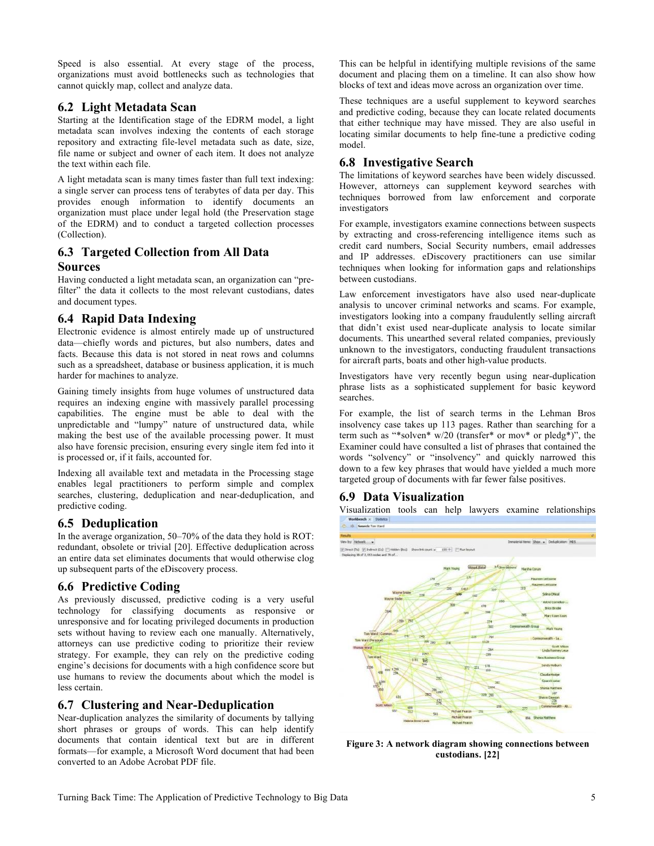Speed is also essential. At every stage of the process, organizations must avoid bottlenecks such as technologies that cannot quickly map, collect and analyze data.

## **6.2 Light Metadata Scan**

Starting at the Identification stage of the EDRM model, a light metadata scan involves indexing the contents of each storage repository and extracting file-level metadata such as date, size, file name or subject and owner of each item. It does not analyze the text within each file.

A light metadata scan is many times faster than full text indexing: a single server can process tens of terabytes of data per day. This provides enough information to identify documents an organization must place under legal hold (the Preservation stage of the EDRM) and to conduct a targeted collection processes (Collection).

# **6.3 Targeted Collection from All Data Sources**

Having conducted a light metadata scan, an organization can "prefilter" the data it collects to the most relevant custodians, dates and document types.

# **6.4 Rapid Data Indexing**

Electronic evidence is almost entirely made up of unstructured data—chiefly words and pictures, but also numbers, dates and facts. Because this data is not stored in neat rows and columns such as a spreadsheet, database or business application, it is much harder for machines to analyze.

Gaining timely insights from huge volumes of unstructured data requires an indexing engine with massively parallel processing capabilities. The engine must be able to deal with the unpredictable and "lumpy" nature of unstructured data, while making the best use of the available processing power. It must also have forensic precision, ensuring every single item fed into it is processed or, if it fails, accounted for.

Indexing all available text and metadata in the Processing stage enables legal practitioners to perform simple and complex searches, clustering, deduplication and near-deduplication, and predictive coding.

# **6.5 Deduplication**

In the average organization, 50–70% of the data they hold is ROT: redundant, obsolete or trivial [20]. Effective deduplication across an entire data set eliminates documents that would otherwise clog up subsequent parts of the eDiscovery process.

# **6.6 Predictive Coding**

As previously discussed, predictive coding is a very useful technology for classifying documents as responsive or unresponsive and for locating privileged documents in production sets without having to review each one manually. Alternatively, attorneys can use predictive coding to prioritize their review strategy. For example, they can rely on the predictive coding engine's decisions for documents with a high confidence score but use humans to review the documents about which the model is less certain.

## **6.7 Clustering and Near-Deduplication**

Near-duplication analyzes the similarity of documents by tallying short phrases or groups of words. This can help identify documents that contain identical text but are in different formats—for example, a Microsoft Word document that had been converted to an Adobe Acrobat PDF file.

This can be helpful in identifying multiple revisions of the same document and placing them on a timeline. It can also show how blocks of text and ideas move across an organization over time.

These techniques are a useful supplement to keyword searches and predictive coding, because they can locate related documents that either technique may have missed. They are also useful in locating similar documents to help fine-tune a predictive coding model.

# **6.8 Investigative Search**

The limitations of keyword searches have been widely discussed. However, attorneys can supplement keyword searches with techniques borrowed from law enforcement and corporate investigators

For example, investigators examine connections between suspects by extracting and cross-referencing intelligence items such as credit card numbers, Social Security numbers, email addresses and IP addresses. eDiscovery practitioners can use similar techniques when looking for information gaps and relationships between custodians.

Law enforcement investigators have also used near-duplicate analysis to uncover criminal networks and scams. For example, investigators looking into a company fraudulently selling aircraft that didn't exist used near-duplicate analysis to locate similar documents. This unearthed several related companies, previously unknown to the investigators, conducting fraudulent transactions for aircraft parts, boats and other high-value products.

Investigators have very recently begun using near-duplication phrase lists as a sophisticated supplement for basic keyword searches.

For example, the list of search terms in the Lehman Bros insolvency case takes up 113 pages. Rather than searching for a term such as "\*solven\* w/20 (transfer\* or mov\* or pledg\*)", the Examiner could have consulted a list of phrases that contained the words "solvency" or "insolvency" and quickly narrowed this down to a few key phrases that would have yielded a much more targeted group of documents with far fewer false positives.

# **6.9 Data Visualization**

Visualization tools can help lawyers examine relationships



**Figure 3: A network diagram showing connections between custodians. [22]**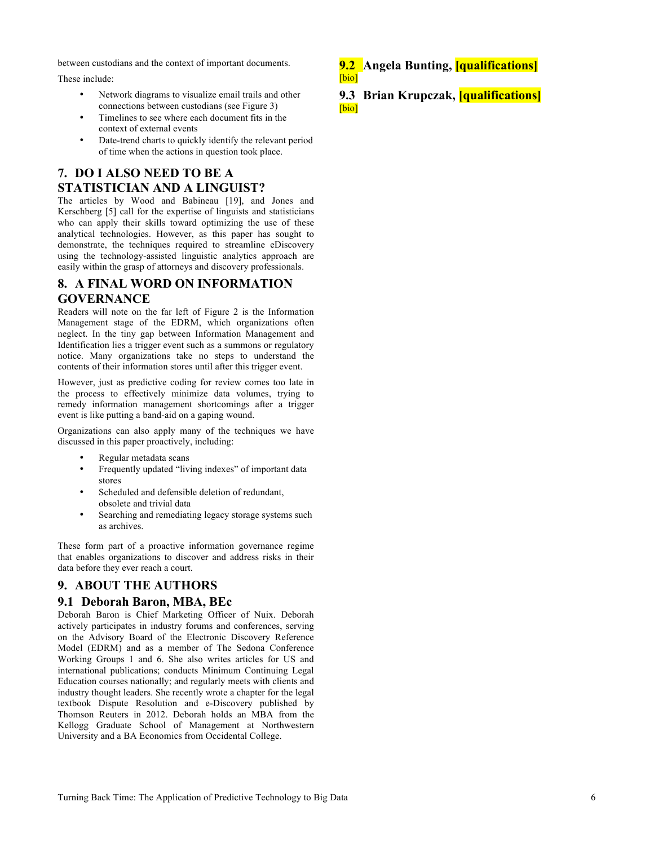between custodians and the context of important documents.

These include:

- Network diagrams to visualize email trails and other connections between custodians (see Figure 3)
- Timelines to see where each document fits in the context of external events
- Date-trend charts to quickly identify the relevant period of time when the actions in question took place.

# **7. DO I ALSO NEED TO BE A STATISTICIAN AND A LINGUIST?**

The articles by Wood and Babineau [19], and Jones and Kerschberg [5] call for the expertise of linguists and statisticians who can apply their skills toward optimizing the use of these analytical technologies. However, as this paper has sought to demonstrate, the techniques required to streamline eDiscovery using the technology-assisted linguistic analytics approach are easily within the grasp of attorneys and discovery professionals.

# **8. A FINAL WORD ON INFORMATION GOVERNANCE**

Readers will note on the far left of Figure 2 is the Information Management stage of the EDRM, which organizations often neglect. In the tiny gap between Information Management and Identification lies a trigger event such as a summons or regulatory notice. Many organizations take no steps to understand the contents of their information stores until after this trigger event.

However, just as predictive coding for review comes too late in the process to effectively minimize data volumes, trying to remedy information management shortcomings after a trigger event is like putting a band-aid on a gaping wound.

Organizations can also apply many of the techniques we have discussed in this paper proactively, including:

- Regular metadata scans
- Frequently updated "living indexes" of important data stores
- Scheduled and defensible deletion of redundant, obsolete and trivial data
- Searching and remediating legacy storage systems such as archives.

These form part of a proactive information governance regime that enables organizations to discover and address risks in their data before they ever reach a court.

# **9. ABOUT THE AUTHORS**

#### **9.1 Deborah Baron, MBA, BEc**

Deborah Baron is Chief Marketing Officer of Nuix. Deborah actively participates in industry forums and conferences, serving on the Advisory Board of the Electronic Discovery Reference Model (EDRM) and as a member of The Sedona Conference Working Groups 1 and 6. She also writes articles for US and international publications; conducts Minimum Continuing Legal Education courses nationally; and regularly meets with clients and industry thought leaders. She recently wrote a chapter for the legal textbook Dispute Resolution and e-Discovery published by Thomson Reuters in 2012. Deborah holds an MBA from the Kellogg Graduate School of Management at Northwestern University and a BA Economics from Occidental College.

**9.2 Angela Bunting, [qualifications]** [bio]

**9.3 Brian Krupczak, [qualifications]** [bio]